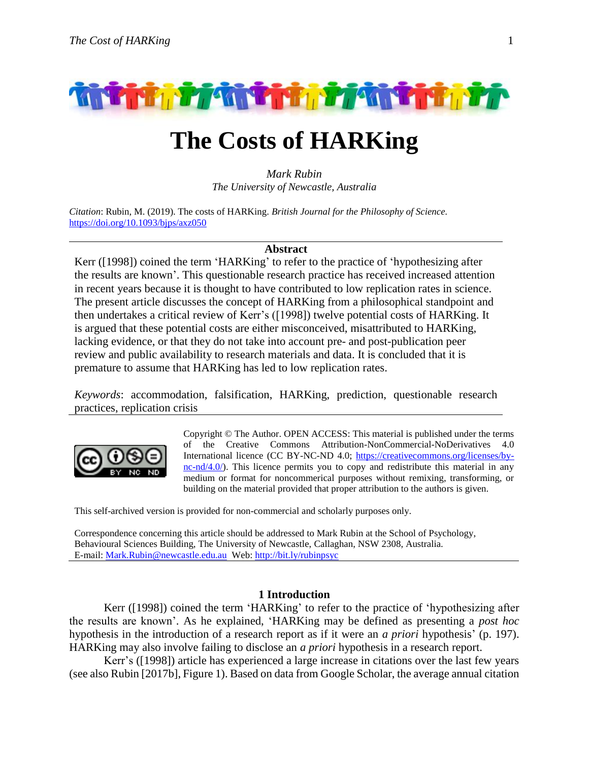

# **The Costs of HARKing**

*Mark Rubin The University of Newcastle, Australia*

*Citation*: Rubin, M. (2019). The costs of HARKing. *British Journal for the Philosophy of Science.* <https://doi.org/10.1093/bjps/axz050>

## **Abstract**

Kerr ([1998]) coined the term 'HARKing' to refer to the practice of 'hypothesizing after the results are known'. This questionable research practice has received increased attention in recent years because it is thought to have contributed to low replication rates in science. The present article discusses the concept of HARKing from a philosophical standpoint and then undertakes a critical review of Kerr's ([1998]) twelve potential costs of HARKing. It is argued that these potential costs are either misconceived, misattributed to HARKing, lacking evidence, or that they do not take into account pre- and post-publication peer review and public availability to research materials and data. It is concluded that it is premature to assume that HARKing has led to low replication rates.

*Keywords*: accommodation, falsification, HARKing, prediction, questionable research practices, replication crisis



Copyright © The Author. OPEN ACCESS: This material is published under the terms of the Creative Commons Attribution-NonCommercial-NoDerivatives 4.0 International licence (CC BY-NC-ND 4.0; [https://creativecommons.org/licenses/by](https://creativecommons.org/licenses/by-nc-nd/4.0/)[nc-nd/4.0/\)](https://creativecommons.org/licenses/by-nc-nd/4.0/). This licence permits you to copy and redistribute this material in any medium or format for noncommerical purposes without remixing, transforming, or building on the material provided that proper attribution to the authors is given.

This self-archived version is provided for non-commercial and scholarly purposes only.

Correspondence concerning this article should be addressed to Mark Rubin at the School of Psychology, Behavioural Sciences Building, The University of Newcastle, Callaghan, NSW 2308, Australia. E-mail: [Mark.Rubin@newcastle.edu.au](mailto:Mark.Rubin@newcastle.edu.au) Web:<http://bit.ly/rubinpsyc>

## **1 Introduction**

Kerr ([1998]) coined the term 'HARKing' to refer to the practice of 'hypothesizing after the results are known'. As he explained, 'HARKing may be defined as presenting a *post hoc* hypothesis in the introduction of a research report as if it were an *a priori* hypothesis' (p. 197). HARKing may also involve failing to disclose an *a priori* hypothesis in a research report.

Kerr's ([1998]) article has experienced a large increase in citations over the last few years (see also Rubin [2017b], Figure 1). Based on data from Google Scholar, the average annual citation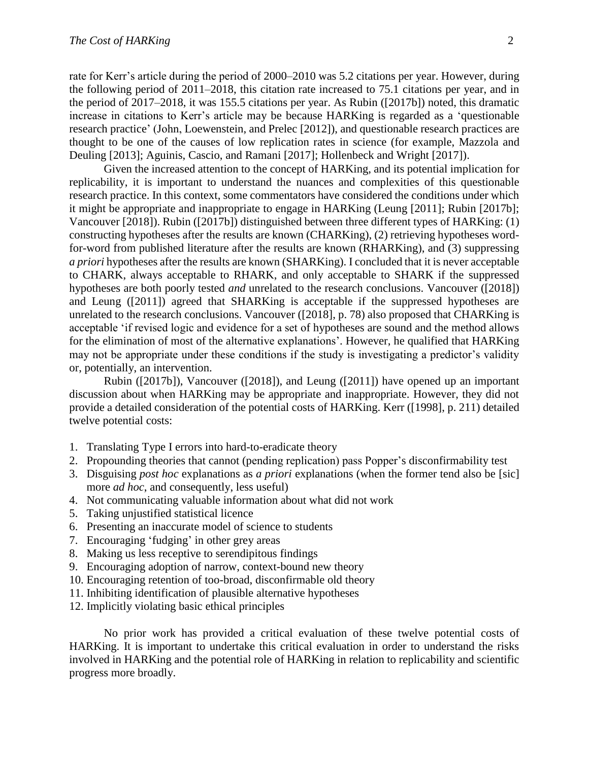rate for Kerr's article during the period of 2000–2010 was 5.2 citations per year. However, during the following period of 2011–2018, this citation rate increased to 75.1 citations per year, and in the period of 2017–2018, it was 155.5 citations per year. As Rubin ([2017b]) noted, this dramatic increase in citations to Kerr's article may be because HARKing is regarded as a 'questionable research practice' (John, Loewenstein, and Prelec [2012]), and questionable research practices are thought to be one of the causes of low replication rates in science (for example, Mazzola and Deuling [2013]; Aguinis, Cascio, and Ramani [2017]; Hollenbeck and Wright [2017]).

Given the increased attention to the concept of HARKing, and its potential implication for replicability, it is important to understand the nuances and complexities of this questionable research practice. In this context, some commentators have considered the conditions under which it might be appropriate and inappropriate to engage in HARKing (Leung [2011]; Rubin [2017b]; Vancouver [2018]). Rubin ([2017b]) distinguished between three different types of HARKing: (1) constructing hypotheses after the results are known (CHARKing), (2) retrieving hypotheses wordfor-word from published literature after the results are known (RHARKing), and (3) suppressing *a priori* hypotheses after the results are known (SHARKing). I concluded that it is never acceptable to CHARK, always acceptable to RHARK, and only acceptable to SHARK if the suppressed hypotheses are both poorly tested *and* unrelated to the research conclusions. Vancouver ([2018]) and Leung ([2011]) agreed that SHARKing is acceptable if the suppressed hypotheses are unrelated to the research conclusions. Vancouver ([2018], p. 78) also proposed that CHARKing is acceptable 'if revised logic and evidence for a set of hypotheses are sound and the method allows for the elimination of most of the alternative explanations'. However, he qualified that HARKing may not be appropriate under these conditions if the study is investigating a predictor's validity or, potentially, an intervention.

Rubin ([2017b]), Vancouver ([2018]), and Leung ([2011]) have opened up an important discussion about when HARKing may be appropriate and inappropriate. However, they did not provide a detailed consideration of the potential costs of HARKing. Kerr ([1998], p. 211) detailed twelve potential costs:

- 1. Translating Type I errors into hard-to-eradicate theory
- 2. Propounding theories that cannot (pending replication) pass Popper's disconfirmability test
- 3. Disguising *post hoc* explanations as *a priori* explanations (when the former tend also be [sic] more *ad hoc*, and consequently, less useful)
- 4. Not communicating valuable information about what did not work
- 5. Taking unjustified statistical licence
- 6. Presenting an inaccurate model of science to students
- 7. Encouraging 'fudging' in other grey areas
- 8. Making us less receptive to serendipitous findings
- 9. Encouraging adoption of narrow, context-bound new theory
- 10. Encouraging retention of too-broad, disconfirmable old theory
- 11. Inhibiting identification of plausible alternative hypotheses
- 12. Implicitly violating basic ethical principles

No prior work has provided a critical evaluation of these twelve potential costs of HARKing. It is important to undertake this critical evaluation in order to understand the risks involved in HARKing and the potential role of HARKing in relation to replicability and scientific progress more broadly.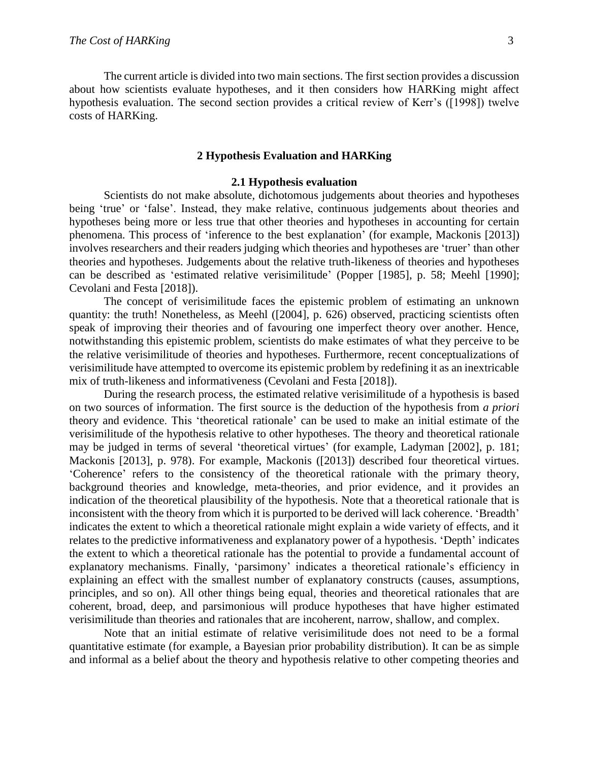The current article is divided into two main sections. The first section provides a discussion about how scientists evaluate hypotheses, and it then considers how HARKing might affect hypothesis evaluation. The second section provides a critical review of Kerr's ([1998]) twelve costs of HARKing.

### **2 Hypothesis Evaluation and HARKing**

### **2.1 Hypothesis evaluation**

Scientists do not make absolute, dichotomous judgements about theories and hypotheses being 'true' or 'false'. Instead, they make relative, continuous judgements about theories and hypotheses being more or less true that other theories and hypotheses in accounting for certain phenomena. This process of 'inference to the best explanation' (for example, Mackonis [2013]) involves researchers and their readers judging which theories and hypotheses are 'truer' than other theories and hypotheses. Judgements about the relative truth-likeness of theories and hypotheses can be described as 'estimated relative verisimilitude' (Popper [1985], p. 58; Meehl [1990]; Cevolani and Festa [2018]).

The concept of verisimilitude faces the epistemic problem of estimating an unknown quantity: the truth! Nonetheless, as Meehl ([2004], p. 626) observed, practicing scientists often speak of improving their theories and of favouring one imperfect theory over another. Hence, notwithstanding this epistemic problem, scientists do make estimates of what they perceive to be the relative verisimilitude of theories and hypotheses. Furthermore, recent conceptualizations of verisimilitude have attempted to overcome its epistemic problem by redefining it as an inextricable mix of truth-likeness and informativeness (Cevolani and Festa [2018]).

During the research process, the estimated relative verisimilitude of a hypothesis is based on two sources of information. The first source is the deduction of the hypothesis from *a priori* theory and evidence. This 'theoretical rationale' can be used to make an initial estimate of the verisimilitude of the hypothesis relative to other hypotheses. The theory and theoretical rationale may be judged in terms of several 'theoretical virtues' (for example, Ladyman [2002], p. 181; Mackonis [2013], p. 978). For example, Mackonis ([2013]) described four theoretical virtues. 'Coherence' refers to the consistency of the theoretical rationale with the primary theory, background theories and knowledge, meta-theories, and prior evidence, and it provides an indication of the theoretical plausibility of the hypothesis. Note that a theoretical rationale that is inconsistent with the theory from which it is purported to be derived will lack coherence. 'Breadth' indicates the extent to which a theoretical rationale might explain a wide variety of effects, and it relates to the predictive informativeness and explanatory power of a hypothesis. 'Depth' indicates the extent to which a theoretical rationale has the potential to provide a fundamental account of explanatory mechanisms. Finally, 'parsimony' indicates a theoretical rationale's efficiency in explaining an effect with the smallest number of explanatory constructs (causes, assumptions, principles, and so on). All other things being equal, theories and theoretical rationales that are coherent, broad, deep, and parsimonious will produce hypotheses that have higher estimated verisimilitude than theories and rationales that are incoherent, narrow, shallow, and complex.

Note that an initial estimate of relative verisimilitude does not need to be a formal quantitative estimate (for example, a Bayesian prior probability distribution). It can be as simple and informal as a belief about the theory and hypothesis relative to other competing theories and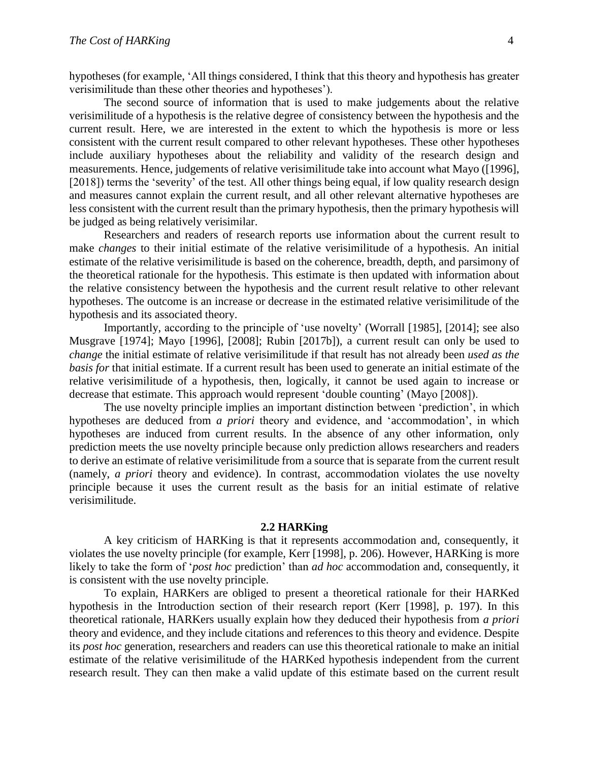hypotheses (for example, 'All things considered, I think that this theory and hypothesis has greater verisimilitude than these other theories and hypotheses').

The second source of information that is used to make judgements about the relative verisimilitude of a hypothesis is the relative degree of consistency between the hypothesis and the current result. Here, we are interested in the extent to which the hypothesis is more or less consistent with the current result compared to other relevant hypotheses. These other hypotheses include auxiliary hypotheses about the reliability and validity of the research design and measurements. Hence, judgements of relative verisimilitude take into account what Mayo ([1996], [2018]) terms the 'severity' of the test. All other things being equal, if low quality research design and measures cannot explain the current result, and all other relevant alternative hypotheses are less consistent with the current result than the primary hypothesis, then the primary hypothesis will be judged as being relatively verisimilar.

Researchers and readers of research reports use information about the current result to make *changes* to their initial estimate of the relative verisimilitude of a hypothesis. An initial estimate of the relative verisimilitude is based on the coherence, breadth, depth, and parsimony of the theoretical rationale for the hypothesis. This estimate is then updated with information about the relative consistency between the hypothesis and the current result relative to other relevant hypotheses. The outcome is an increase or decrease in the estimated relative verisimilitude of the hypothesis and its associated theory.

Importantly, according to the principle of 'use novelty' (Worrall [1985], [2014]; see also Musgrave [1974]; Mayo [1996], [2008]; Rubin [2017b]), a current result can only be used to *change* the initial estimate of relative verisimilitude if that result has not already been *used as the basis for* that initial estimate. If a current result has been used to generate an initial estimate of the relative verisimilitude of a hypothesis, then, logically, it cannot be used again to increase or decrease that estimate. This approach would represent 'double counting' (Mayo [2008]).

The use novelty principle implies an important distinction between 'prediction', in which hypotheses are deduced from *a priori* theory and evidence, and 'accommodation', in which hypotheses are induced from current results. In the absence of any other information, only prediction meets the use novelty principle because only prediction allows researchers and readers to derive an estimate of relative verisimilitude from a source that is separate from the current result (namely, *a priori* theory and evidence). In contrast, accommodation violates the use novelty principle because it uses the current result as the basis for an initial estimate of relative verisimilitude.

#### **2.2 HARKing**

A key criticism of HARKing is that it represents accommodation and, consequently, it violates the use novelty principle (for example, Kerr [1998], p. 206). However, HARKing is more likely to take the form of '*post hoc* prediction' than *ad hoc* accommodation and, consequently, it is consistent with the use novelty principle.

To explain, HARKers are obliged to present a theoretical rationale for their HARKed hypothesis in the Introduction section of their research report (Kerr [1998], p. 197). In this theoretical rationale, HARKers usually explain how they deduced their hypothesis from *a priori* theory and evidence, and they include citations and references to this theory and evidence. Despite its *post hoc* generation, researchers and readers can use this theoretical rationale to make an initial estimate of the relative verisimilitude of the HARKed hypothesis independent from the current research result. They can then make a valid update of this estimate based on the current result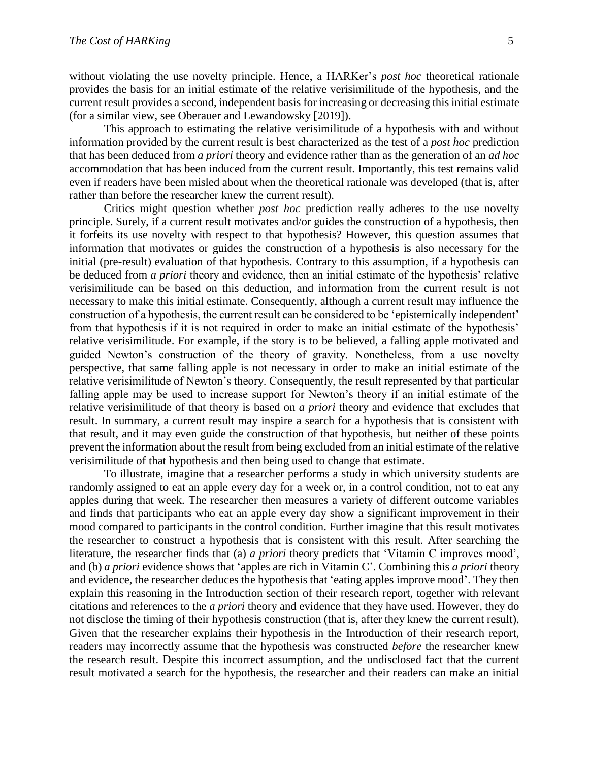without violating the use novelty principle. Hence, a HARKer's *post hoc* theoretical rationale provides the basis for an initial estimate of the relative verisimilitude of the hypothesis, and the current result provides a second, independent basis for increasing or decreasing this initial estimate (for a similar view, see Oberauer and Lewandowsky [2019]).

This approach to estimating the relative verisimilitude of a hypothesis with and without information provided by the current result is best characterized as the test of a *post hoc* prediction that has been deduced from *a priori* theory and evidence rather than as the generation of an *ad hoc* accommodation that has been induced from the current result. Importantly, this test remains valid even if readers have been misled about when the theoretical rationale was developed (that is, after rather than before the researcher knew the current result).

Critics might question whether *post hoc* prediction really adheres to the use novelty principle. Surely, if a current result motivates and/or guides the construction of a hypothesis, then it forfeits its use novelty with respect to that hypothesis? However, this question assumes that information that motivates or guides the construction of a hypothesis is also necessary for the initial (pre-result) evaluation of that hypothesis. Contrary to this assumption, if a hypothesis can be deduced from *a priori* theory and evidence, then an initial estimate of the hypothesis' relative verisimilitude can be based on this deduction, and information from the current result is not necessary to make this initial estimate. Consequently, although a current result may influence the construction of a hypothesis, the current result can be considered to be 'epistemically independent' from that hypothesis if it is not required in order to make an initial estimate of the hypothesis' relative verisimilitude. For example, if the story is to be believed, a falling apple motivated and guided Newton's construction of the theory of gravity. Nonetheless, from a use novelty perspective, that same falling apple is not necessary in order to make an initial estimate of the relative verisimilitude of Newton's theory. Consequently, the result represented by that particular falling apple may be used to increase support for Newton's theory if an initial estimate of the relative verisimilitude of that theory is based on *a priori* theory and evidence that excludes that result. In summary, a current result may inspire a search for a hypothesis that is consistent with that result, and it may even guide the construction of that hypothesis, but neither of these points prevent the information about the result from being excluded from an initial estimate of the relative verisimilitude of that hypothesis and then being used to change that estimate.

To illustrate, imagine that a researcher performs a study in which university students are randomly assigned to eat an apple every day for a week or, in a control condition, not to eat any apples during that week. The researcher then measures a variety of different outcome variables and finds that participants who eat an apple every day show a significant improvement in their mood compared to participants in the control condition. Further imagine that this result motivates the researcher to construct a hypothesis that is consistent with this result. After searching the literature, the researcher finds that (a) *a priori* theory predicts that 'Vitamin C improves mood', and (b) *a priori* evidence shows that 'apples are rich in Vitamin C'. Combining this *a priori* theory and evidence, the researcher deduces the hypothesis that 'eating apples improve mood'. They then explain this reasoning in the Introduction section of their research report, together with relevant citations and references to the *a priori* theory and evidence that they have used. However, they do not disclose the timing of their hypothesis construction (that is, after they knew the current result). Given that the researcher explains their hypothesis in the Introduction of their research report, readers may incorrectly assume that the hypothesis was constructed *before* the researcher knew the research result. Despite this incorrect assumption, and the undisclosed fact that the current result motivated a search for the hypothesis, the researcher and their readers can make an initial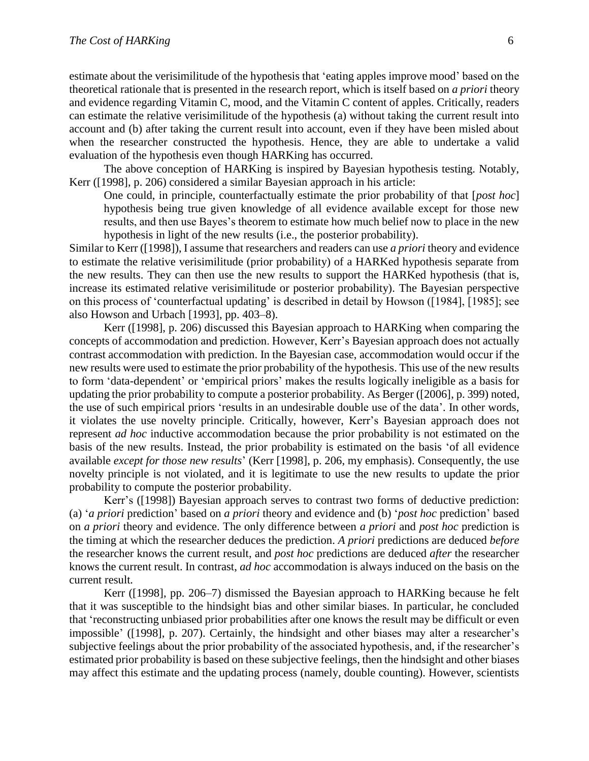estimate about the verisimilitude of the hypothesis that 'eating apples improve mood' based on the theoretical rationale that is presented in the research report, which is itself based on *a priori* theory and evidence regarding Vitamin C, mood, and the Vitamin C content of apples. Critically, readers can estimate the relative verisimilitude of the hypothesis (a) without taking the current result into account and (b) after taking the current result into account, even if they have been misled about when the researcher constructed the hypothesis. Hence, they are able to undertake a valid evaluation of the hypothesis even though HARKing has occurred.

The above conception of HARKing is inspired by Bayesian hypothesis testing. Notably, Kerr ([1998], p. 206) considered a similar Bayesian approach in his article:

One could, in principle, counterfactually estimate the prior probability of that [*post hoc*] hypothesis being true given knowledge of all evidence available except for those new results, and then use Bayes's theorem to estimate how much belief now to place in the new hypothesis in light of the new results (i.e., the posterior probability).

Similar to Kerr ([1998]), I assume that researchers and readers can use *a priori* theory and evidence to estimate the relative verisimilitude (prior probability) of a HARKed hypothesis separate from the new results. They can then use the new results to support the HARKed hypothesis (that is, increase its estimated relative verisimilitude or posterior probability). The Bayesian perspective on this process of 'counterfactual updating' is described in detail by Howson ([1984], [1985]; see also Howson and Urbach [1993], pp. 403–8).

Kerr ([1998], p. 206) discussed this Bayesian approach to HARKing when comparing the concepts of accommodation and prediction. However, Kerr's Bayesian approach does not actually contrast accommodation with prediction. In the Bayesian case, accommodation would occur if the new results were used to estimate the prior probability of the hypothesis. This use of the new results to form 'data-dependent' or 'empirical priors' makes the results logically ineligible as a basis for updating the prior probability to compute a posterior probability. As Berger ([2006], p. 399) noted, the use of such empirical priors 'results in an undesirable double use of the data'. In other words, it violates the use novelty principle. Critically, however, Kerr's Bayesian approach does not represent *ad hoc* inductive accommodation because the prior probability is not estimated on the basis of the new results. Instead, the prior probability is estimated on the basis 'of all evidence available *except for those new results*' (Kerr [1998], p. 206, my emphasis). Consequently, the use novelty principle is not violated, and it is legitimate to use the new results to update the prior probability to compute the posterior probability.

Kerr's ([1998]) Bayesian approach serves to contrast two forms of deductive prediction: (a) '*a priori* prediction' based on *a priori* theory and evidence and (b) '*post hoc* prediction' based on *a priori* theory and evidence. The only difference between *a priori* and *post hoc* prediction is the timing at which the researcher deduces the prediction. *A priori* predictions are deduced *before* the researcher knows the current result, and *post hoc* predictions are deduced *after* the researcher knows the current result. In contrast, *ad hoc* accommodation is always induced on the basis on the current result*.*

Kerr ([1998], pp. 206–7) dismissed the Bayesian approach to HARKing because he felt that it was susceptible to the hindsight bias and other similar biases. In particular, he concluded that 'reconstructing unbiased prior probabilities after one knows the result may be difficult or even impossible' ([1998], p. 207). Certainly, the hindsight and other biases may alter a researcher's subjective feelings about the prior probability of the associated hypothesis, and, if the researcher's estimated prior probability is based on these subjective feelings, then the hindsight and other biases may affect this estimate and the updating process (namely, double counting). However, scientists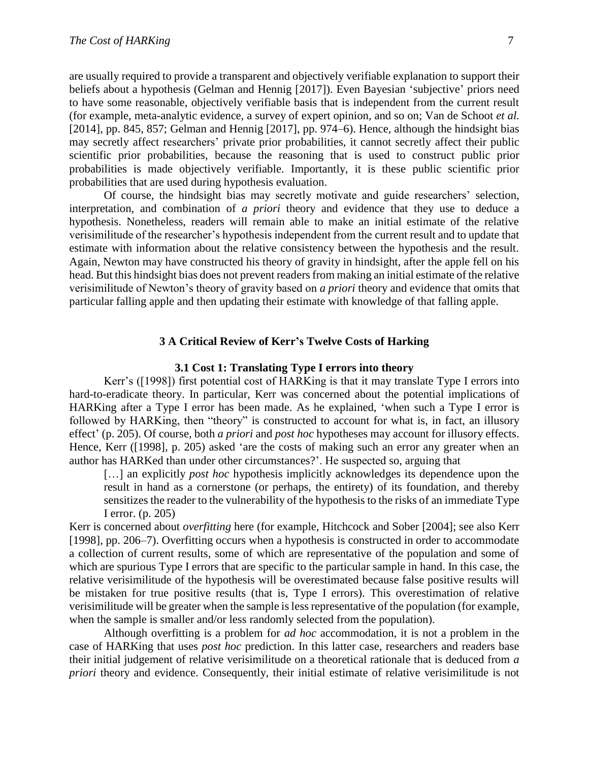are usually required to provide a transparent and objectively verifiable explanation to support their beliefs about a hypothesis (Gelman and Hennig [2017]). Even Bayesian 'subjective' priors need to have some reasonable, objectively verifiable basis that is independent from the current result (for example, meta-analytic evidence, a survey of expert opinion, and so on; Van de Schoot *et al.* [2014], pp. 845, 857; Gelman and Hennig [2017], pp. 974–6). Hence, although the hindsight bias may secretly affect researchers' private prior probabilities, it cannot secretly affect their public scientific prior probabilities, because the reasoning that is used to construct public prior probabilities is made objectively verifiable. Importantly, it is these public scientific prior probabilities that are used during hypothesis evaluation.

Of course, the hindsight bias may secretly motivate and guide researchers' selection, interpretation*,* and combination of *a priori* theory and evidence that they use to deduce a hypothesis. Nonetheless, readers will remain able to make an initial estimate of the relative verisimilitude of the researcher's hypothesis independent from the current result and to update that estimate with information about the relative consistency between the hypothesis and the result. Again, Newton may have constructed his theory of gravity in hindsight, after the apple fell on his head. But this hindsight bias does not prevent readers from making an initial estimate of the relative verisimilitude of Newton's theory of gravity based on *a priori* theory and evidence that omits that particular falling apple and then updating their estimate with knowledge of that falling apple.

## **3 A Critical Review of Kerr's Twelve Costs of Harking**

## **3.1 Cost 1: Translating Type I errors into theory**

Kerr's ([1998]) first potential cost of HARKing is that it may translate Type I errors into hard-to-eradicate theory. In particular, Kerr was concerned about the potential implications of HARKing after a Type I error has been made. As he explained, 'when such a Type I error is followed by HARKing, then "theory" is constructed to account for what is, in fact, an illusory effect' (p. 205). Of course, both *a priori* and *post hoc* hypotheses may account for illusory effects. Hence, Kerr ([1998], p. 205) asked 'are the costs of making such an error any greater when an author has HARKed than under other circumstances?'. He suspected so, arguing that

[...] an explicitly *post hoc* hypothesis implicitly acknowledges its dependence upon the result in hand as a cornerstone (or perhaps, the entirety) of its foundation, and thereby sensitizes the reader to the vulnerability of the hypothesis to the risks of an immediate Type I error. (p. 205)

Kerr is concerned about *overfitting* here (for example, Hitchcock and Sober [2004]; see also Kerr [1998], pp. 206–7). Overfitting occurs when a hypothesis is constructed in order to accommodate a collection of current results, some of which are representative of the population and some of which are spurious Type I errors that are specific to the particular sample in hand. In this case, the relative verisimilitude of the hypothesis will be overestimated because false positive results will be mistaken for true positive results (that is, Type I errors). This overestimation of relative verisimilitude will be greater when the sample is less representative of the population (for example, when the sample is smaller and/or less randomly selected from the population).

Although overfitting is a problem for *ad hoc* accommodation, it is not a problem in the case of HARKing that uses *post hoc* prediction. In this latter case, researchers and readers base their initial judgement of relative verisimilitude on a theoretical rationale that is deduced from *a priori* theory and evidence. Consequently, their initial estimate of relative verisimilitude is not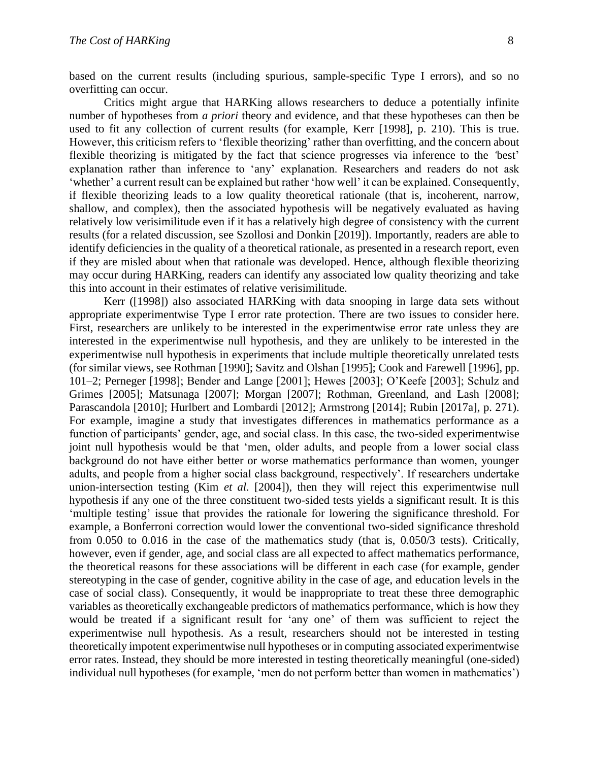based on the current results (including spurious, sample-specific Type I errors), and so no overfitting can occur.

Critics might argue that HARKing allows researchers to deduce a potentially infinite number of hypotheses from *a priori* theory and evidence, and that these hypotheses can then be used to fit any collection of current results (for example, Kerr [1998], p. 210). This is true. However, this criticism refers to 'flexible theorizing' rather than overfitting, and the concern about flexible theorizing is mitigated by the fact that science progresses via inference to the *'*best' explanation rather than inference to 'any' explanation. Researchers and readers do not ask 'whether' a current result can be explained but rather 'how well' it can be explained. Consequently, if flexible theorizing leads to a low quality theoretical rationale (that is, incoherent, narrow, shallow, and complex), then the associated hypothesis will be negatively evaluated as having relatively low verisimilitude even if it has a relatively high degree of consistency with the current results (for a related discussion, see Szollosi and Donkin [2019]). Importantly, readers are able to identify deficiencies in the quality of a theoretical rationale, as presented in a research report, even if they are misled about when that rationale was developed. Hence, although flexible theorizing may occur during HARKing, readers can identify any associated low quality theorizing and take this into account in their estimates of relative verisimilitude.

Kerr ([1998]) also associated HARKing with data snooping in large data sets without appropriate experimentwise Type I error rate protection. There are two issues to consider here. First, researchers are unlikely to be interested in the experimentwise error rate unless they are interested in the experimentwise null hypothesis, and they are unlikely to be interested in the experimentwise null hypothesis in experiments that include multiple theoretically unrelated tests (for similar views, see Rothman [1990]; Savitz and Olshan [1995]; Cook and Farewell [1996], pp. 101–2; Perneger [1998]; Bender and Lange [2001]; Hewes [2003]; O'Keefe [2003]; Schulz and Grimes [2005]; Matsunaga [2007]; Morgan [2007]; Rothman, Greenland, and Lash [2008]; Parascandola [2010]; Hurlbert and Lombardi [2012]; Armstrong [2014]; Rubin [2017a], p. 271). For example, imagine a study that investigates differences in mathematics performance as a function of participants' gender, age, and social class. In this case, the two-sided experimentwise joint null hypothesis would be that 'men, older adults, and people from a lower social class background do not have either better or worse mathematics performance than women, younger adults, and people from a higher social class background, respectively'. If researchers undertake union-intersection testing (Kim *et al.* [2004]), then they will reject this experimentwise null hypothesis if any one of the three constituent two-sided tests yields a significant result. It is this 'multiple testing' issue that provides the rationale for lowering the significance threshold. For example, a Bonferroni correction would lower the conventional two-sided significance threshold from 0.050 to 0.016 in the case of the mathematics study (that is, 0.050/3 tests). Critically, however, even if gender, age, and social class are all expected to affect mathematics performance, the theoretical reasons for these associations will be different in each case (for example, gender stereotyping in the case of gender, cognitive ability in the case of age, and education levels in the case of social class). Consequently, it would be inappropriate to treat these three demographic variables as theoretically exchangeable predictors of mathematics performance, which is how they would be treated if a significant result for 'any one' of them was sufficient to reject the experimentwise null hypothesis. As a result, researchers should not be interested in testing theoretically impotent experimentwise null hypotheses or in computing associated experimentwise error rates. Instead, they should be more interested in testing theoretically meaningful (one-sided) individual null hypotheses (for example, 'men do not perform better than women in mathematics')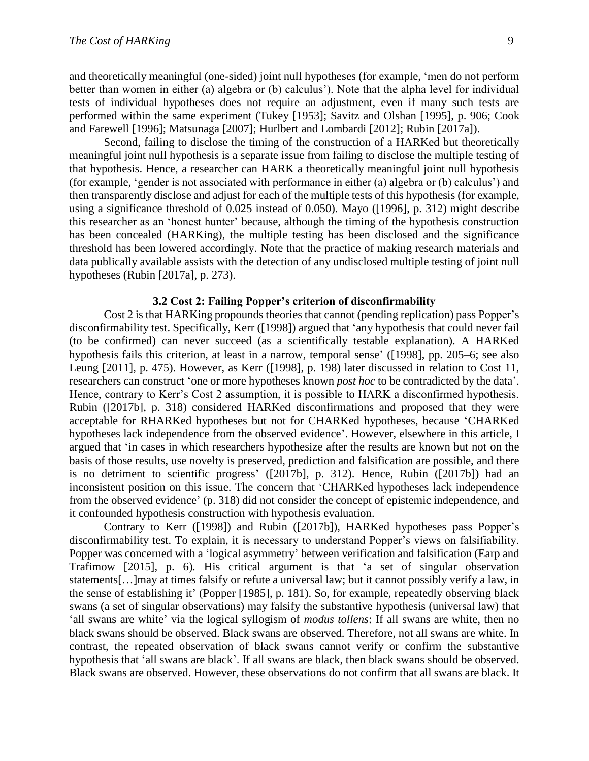and theoretically meaningful (one-sided) joint null hypotheses (for example, 'men do not perform better than women in either (a) algebra or (b) calculus'). Note that the alpha level for individual tests of individual hypotheses does not require an adjustment, even if many such tests are performed within the same experiment (Tukey [1953]; Savitz and Olshan [1995], p. 906; Cook and Farewell [1996]; Matsunaga [2007]; Hurlbert and Lombardi [2012]; Rubin [2017a]).

Second, failing to disclose the timing of the construction of a HARKed but theoretically meaningful joint null hypothesis is a separate issue from failing to disclose the multiple testing of that hypothesis. Hence, a researcher can HARK a theoretically meaningful joint null hypothesis (for example, 'gender is not associated with performance in either (a) algebra or (b) calculus') and then transparently disclose and adjust for each of the multiple tests of this hypothesis (for example, using a significance threshold of 0.025 instead of 0.050). Mayo ([1996], p. 312) might describe this researcher as an 'honest hunter' because, although the timing of the hypothesis construction has been concealed (HARKing), the multiple testing has been disclosed and the significance threshold has been lowered accordingly. Note that the practice of making research materials and data publically available assists with the detection of any undisclosed multiple testing of joint null hypotheses (Rubin [2017a], p. 273).

# **3.2 Cost 2: Failing Popper's criterion of disconfirmability**

Cost 2 is that HARKing propounds theories that cannot (pending replication) pass Popper's disconfirmability test. Specifically, Kerr ([1998]) argued that 'any hypothesis that could never fail (to be confirmed) can never succeed (as a scientifically testable explanation). A HARKed hypothesis fails this criterion, at least in a narrow, temporal sense' ([1998], pp. 205–6; see also Leung [2011], p. 475). However, as Kerr ([1998], p. 198) later discussed in relation to Cost 11, researchers can construct 'one or more hypotheses known *post hoc* to be contradicted by the data'. Hence, contrary to Kerr's Cost 2 assumption, it is possible to HARK a disconfirmed hypothesis. Rubin ([2017b], p. 318) considered HARKed disconfirmations and proposed that they were acceptable for RHARKed hypotheses but not for CHARKed hypotheses, because 'CHARKed hypotheses lack independence from the observed evidence'. However, elsewhere in this article, I argued that 'in cases in which researchers hypothesize after the results are known but not on the basis of those results, use novelty is preserved, prediction and falsification are possible, and there is no detriment to scientific progress' ([2017b], p. 312). Hence, Rubin ([2017b]) had an inconsistent position on this issue. The concern that 'CHARKed hypotheses lack independence from the observed evidence' (p. 318) did not consider the concept of epistemic independence, and it confounded hypothesis construction with hypothesis evaluation.

Contrary to Kerr ([1998]) and Rubin ([2017b]), HARKed hypotheses pass Popper's disconfirmability test. To explain, it is necessary to understand Popper's views on falsifiability. Popper was concerned with a 'logical asymmetry' between verification and falsification (Earp and Trafimow [2015], p. 6)*.* His critical argument is that 'a set of singular observation statements[…]may at times falsify or refute a universal law; but it cannot possibly verify a law, in the sense of establishing it' (Popper [1985], p. 181). So, for example, repeatedly observing black swans (a set of singular observations) may falsify the substantive hypothesis (universal law) that 'all swans are white' via the logical syllogism of *modus tollens*: If all swans are white, then no black swans should be observed. Black swans are observed. Therefore, not all swans are white. In contrast, the repeated observation of black swans cannot verify or confirm the substantive hypothesis that 'all swans are black'. If all swans are black, then black swans should be observed. Black swans are observed. However, these observations do not confirm that all swans are black. It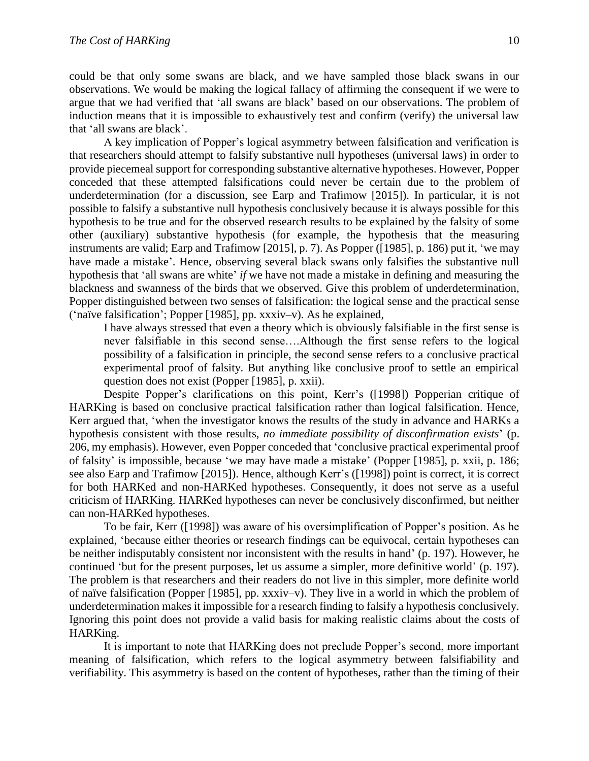could be that only some swans are black, and we have sampled those black swans in our observations. We would be making the logical fallacy of affirming the consequent if we were to argue that we had verified that 'all swans are black' based on our observations. The problem of induction means that it is impossible to exhaustively test and confirm (verify) the universal law that 'all swans are black'.

A key implication of Popper's logical asymmetry between falsification and verification is that researchers should attempt to falsify substantive null hypotheses (universal laws) in order to provide piecemeal support for corresponding substantive alternative hypotheses. However, Popper conceded that these attempted falsifications could never be certain due to the problem of underdetermination (for a discussion, see Earp and Trafimow [2015]). In particular, it is not possible to falsify a substantive null hypothesis conclusively because it is always possible for this hypothesis to be true and for the observed research results to be explained by the falsity of some other (auxiliary) substantive hypothesis (for example, the hypothesis that the measuring instruments are valid; Earp and Trafimow [2015], p. 7). As Popper ([1985], p. 186) put it, 'we may have made a mistake'. Hence, observing several black swans only falsifies the substantive null hypothesis that 'all swans are white' *if* we have not made a mistake in defining and measuring the blackness and swanness of the birds that we observed. Give this problem of underdetermination, Popper distinguished between two senses of falsification: the logical sense and the practical sense ('naïve falsification'; Popper [1985], pp. xxxiv–v). As he explained,

I have always stressed that even a theory which is obviously falsifiable in the first sense is never falsifiable in this second sense….Although the first sense refers to the logical possibility of a falsification in principle, the second sense refers to a conclusive practical experimental proof of falsity. But anything like conclusive proof to settle an empirical question does not exist (Popper [1985], p. xxii).

Despite Popper's clarifications on this point, Kerr's ([1998]) Popperian critique of HARKing is based on conclusive practical falsification rather than logical falsification. Hence, Kerr argued that, 'when the investigator knows the results of the study in advance and HARKs a hypothesis consistent with those results, *no immediate possibility of disconfirmation exists*' (p. 206, my emphasis). However, even Popper conceded that 'conclusive practical experimental proof of falsity' is impossible, because 'we may have made a mistake' (Popper [1985], p. xxii, p. 186; see also Earp and Trafimow [2015]). Hence, although Kerr's ([1998]) point is correct, it is correct for both HARKed and non-HARKed hypotheses. Consequently, it does not serve as a useful criticism of HARKing. HARKed hypotheses can never be conclusively disconfirmed, but neither can non-HARKed hypotheses.

To be fair, Kerr ([1998]) was aware of his oversimplification of Popper's position. As he explained, 'because either theories or research findings can be equivocal, certain hypotheses can be neither indisputably consistent nor inconsistent with the results in hand' (p. 197). However, he continued 'but for the present purposes, let us assume a simpler, more definitive world' (p. 197). The problem is that researchers and their readers do not live in this simpler, more definite world of naïve falsification (Popper [1985], pp. xxxiv–v). They live in a world in which the problem of underdetermination makes it impossible for a research finding to falsify a hypothesis conclusively. Ignoring this point does not provide a valid basis for making realistic claims about the costs of HARKing.

It is important to note that HARKing does not preclude Popper's second, more important meaning of falsification, which refers to the logical asymmetry between falsifiability and verifiability. This asymmetry is based on the content of hypotheses, rather than the timing of their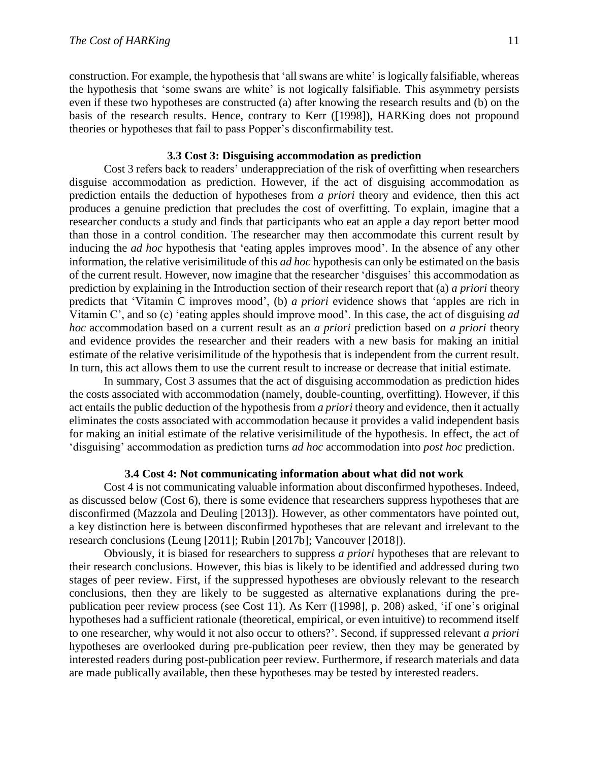construction. For example, the hypothesis that 'all swans are white' is logically falsifiable, whereas the hypothesis that 'some swans are white' is not logically falsifiable. This asymmetry persists even if these two hypotheses are constructed (a) after knowing the research results and (b) on the basis of the research results. Hence, contrary to Kerr ([1998]), HARKing does not propound theories or hypotheses that fail to pass Popper's disconfirmability test.

## **3.3 Cost 3: Disguising accommodation as prediction**

Cost 3 refers back to readers' underappreciation of the risk of overfitting when researchers disguise accommodation as prediction. However, if the act of disguising accommodation as prediction entails the deduction of hypotheses from *a priori* theory and evidence, then this act produces a genuine prediction that precludes the cost of overfitting. To explain, imagine that a researcher conducts a study and finds that participants who eat an apple a day report better mood than those in a control condition. The researcher may then accommodate this current result by inducing the *ad hoc* hypothesis that 'eating apples improves mood'. In the absence of any other information, the relative verisimilitude of this *ad hoc* hypothesis can only be estimated on the basis of the current result. However, now imagine that the researcher 'disguises' this accommodation as prediction by explaining in the Introduction section of their research report that (a) *a priori* theory predicts that 'Vitamin C improves mood', (b) *a priori* evidence shows that 'apples are rich in Vitamin C', and so (c) 'eating apples should improve mood'. In this case, the act of disguising *ad hoc* accommodation based on a current result as an *a priori* prediction based on *a priori* theory and evidence provides the researcher and their readers with a new basis for making an initial estimate of the relative verisimilitude of the hypothesis that is independent from the current result. In turn, this act allows them to use the current result to increase or decrease that initial estimate.

In summary, Cost 3 assumes that the act of disguising accommodation as prediction hides the costs associated with accommodation (namely, double-counting, overfitting). However, if this act entails the public deduction of the hypothesis from *a priori* theory and evidence, then it actually eliminates the costs associated with accommodation because it provides a valid independent basis for making an initial estimate of the relative verisimilitude of the hypothesis. In effect, the act of 'disguising' accommodation as prediction turns *ad hoc* accommodation into *post hoc* prediction.

## **3.4 Cost 4: Not communicating information about what did not work**

Cost 4 is not communicating valuable information about disconfirmed hypotheses. Indeed, as discussed below (Cost 6), there is some evidence that researchers suppress hypotheses that are disconfirmed (Mazzola and Deuling [2013]). However, as other commentators have pointed out, a key distinction here is between disconfirmed hypotheses that are relevant and irrelevant to the research conclusions (Leung [2011]; Rubin [2017b]; Vancouver [2018]).

Obviously, it is biased for researchers to suppress *a priori* hypotheses that are relevant to their research conclusions. However, this bias is likely to be identified and addressed during two stages of peer review. First, if the suppressed hypotheses are obviously relevant to the research conclusions, then they are likely to be suggested as alternative explanations during the prepublication peer review process (see Cost 11). As Kerr ([1998], p. 208) asked, 'if one's original hypotheses had a sufficient rationale (theoretical, empirical, or even intuitive) to recommend itself to one researcher, why would it not also occur to others?'. Second, if suppressed relevant *a priori* hypotheses are overlooked during pre-publication peer review, then they may be generated by interested readers during post-publication peer review. Furthermore, if research materials and data are made publically available, then these hypotheses may be tested by interested readers.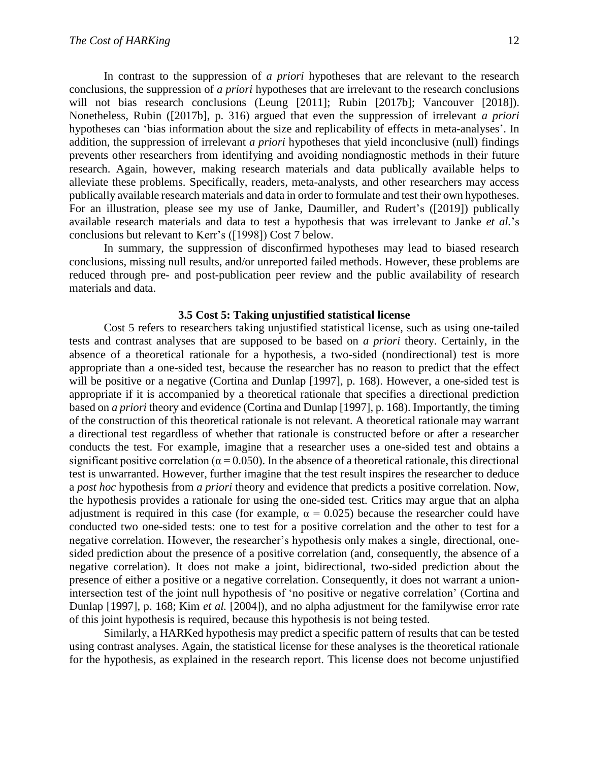In contrast to the suppression of *a priori* hypotheses that are relevant to the research conclusions, the suppression of *a priori* hypotheses that are irrelevant to the research conclusions will not bias research conclusions (Leung [2011]; Rubin [2017b]; Vancouver [2018]). Nonetheless, Rubin ([2017b], p. 316) argued that even the suppression of irrelevant *a priori* hypotheses can 'bias information about the size and replicability of effects in meta-analyses'. In addition, the suppression of irrelevant *a priori* hypotheses that yield inconclusive (null) findings prevents other researchers from identifying and avoiding nondiagnostic methods in their future research. Again, however, making research materials and data publically available helps to alleviate these problems. Specifically, readers, meta-analysts, and other researchers may access publically available research materials and data in order to formulate and test their own hypotheses. For an illustration, please see my use of Janke, Daumiller, and Rudert's ([2019]) publically available research materials and data to test a hypothesis that was irrelevant to Janke *et al.*'s conclusions but relevant to Kerr's ([1998]) Cost 7 below.

In summary, the suppression of disconfirmed hypotheses may lead to biased research conclusions, missing null results, and/or unreported failed methods. However, these problems are reduced through pre- and post-publication peer review and the public availability of research materials and data.

## **3.5 Cost 5: Taking unjustified statistical license**

Cost 5 refers to researchers taking unjustified statistical license, such as using one-tailed tests and contrast analyses that are supposed to be based on *a priori* theory. Certainly, in the absence of a theoretical rationale for a hypothesis, a two-sided (nondirectional) test is more appropriate than a one-sided test, because the researcher has no reason to predict that the effect will be positive or a negative (Cortina and Dunlap [1997], p. 168). However, a one-sided test is appropriate if it is accompanied by a theoretical rationale that specifies a directional prediction based on *a priori* theory and evidence (Cortina and Dunlap [1997], p. 168). Importantly, the timing of the construction of this theoretical rationale is not relevant. A theoretical rationale may warrant a directional test regardless of whether that rationale is constructed before or after a researcher conducts the test. For example, imagine that a researcher uses a one-sided test and obtains a significant positive correlation ( $\alpha$  = 0.050). In the absence of a theoretical rationale, this directional test is unwarranted. However, further imagine that the test result inspires the researcher to deduce a *post hoc* hypothesis from *a priori* theory and evidence that predicts a positive correlation. Now, the hypothesis provides a rationale for using the one-sided test. Critics may argue that an alpha adjustment is required in this case (for example,  $\alpha = 0.025$ ) because the researcher could have conducted two one-sided tests: one to test for a positive correlation and the other to test for a negative correlation. However, the researcher's hypothesis only makes a single, directional, onesided prediction about the presence of a positive correlation (and, consequently, the absence of a negative correlation). It does not make a joint, bidirectional, two-sided prediction about the presence of either a positive or a negative correlation. Consequently, it does not warrant a unionintersection test of the joint null hypothesis of 'no positive or negative correlation' (Cortina and Dunlap [1997], p. 168; Kim *et al.* [2004]), and no alpha adjustment for the familywise error rate of this joint hypothesis is required, because this hypothesis is not being tested.

Similarly, a HARKed hypothesis may predict a specific pattern of results that can be tested using contrast analyses. Again, the statistical license for these analyses is the theoretical rationale for the hypothesis, as explained in the research report. This license does not become unjustified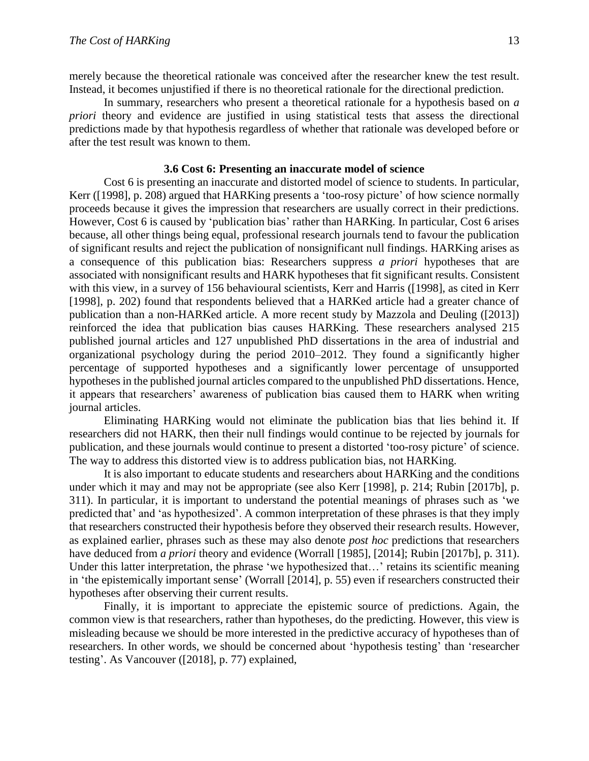merely because the theoretical rationale was conceived after the researcher knew the test result. Instead, it becomes unjustified if there is no theoretical rationale for the directional prediction.

In summary, researchers who present a theoretical rationale for a hypothesis based on *a priori* theory and evidence are justified in using statistical tests that assess the directional predictions made by that hypothesis regardless of whether that rationale was developed before or after the test result was known to them.

# **3.6 Cost 6: Presenting an inaccurate model of science**

Cost 6 is presenting an inaccurate and distorted model of science to students. In particular, Kerr ([1998], p. 208) argued that HARKing presents a 'too-rosy picture' of how science normally proceeds because it gives the impression that researchers are usually correct in their predictions. However, Cost 6 is caused by 'publication bias' rather than HARKing. In particular, Cost 6 arises because, all other things being equal, professional research journals tend to favour the publication of significant results and reject the publication of nonsignificant null findings. HARKing arises as a consequence of this publication bias: Researchers suppress *a priori* hypotheses that are associated with nonsignificant results and HARK hypotheses that fit significant results. Consistent with this view, in a survey of 156 behavioural scientists, Kerr and Harris ([1998], as cited in Kerr [1998], p. 202) found that respondents believed that a HARKed article had a greater chance of publication than a non-HARKed article. A more recent study by Mazzola and Deuling ([2013]) reinforced the idea that publication bias causes HARKing. These researchers analysed 215 published journal articles and 127 unpublished PhD dissertations in the area of industrial and organizational psychology during the period 2010–2012. They found a significantly higher percentage of supported hypotheses and a significantly lower percentage of unsupported hypotheses in the published journal articles compared to the unpublished PhD dissertations. Hence, it appears that researchers' awareness of publication bias caused them to HARK when writing journal articles.

Eliminating HARKing would not eliminate the publication bias that lies behind it. If researchers did not HARK, then their null findings would continue to be rejected by journals for publication, and these journals would continue to present a distorted 'too-rosy picture' of science. The way to address this distorted view is to address publication bias, not HARKing.

It is also important to educate students and researchers about HARKing and the conditions under which it may and may not be appropriate (see also Kerr [1998], p. 214; Rubin [2017b], p. 311). In particular, it is important to understand the potential meanings of phrases such as 'we predicted that' and 'as hypothesized'. A common interpretation of these phrases is that they imply that researchers constructed their hypothesis before they observed their research results. However, as explained earlier, phrases such as these may also denote *post hoc* predictions that researchers have deduced from *a priori* theory and evidence (Worrall [1985], [2014]; Rubin [2017b], p. 311). Under this latter interpretation, the phrase 'we hypothesized that...' retains its scientific meaning in 'the epistemically important sense' (Worrall [2014], p. 55) even if researchers constructed their hypotheses after observing their current results.

Finally, it is important to appreciate the epistemic source of predictions. Again, the common view is that researchers, rather than hypotheses, do the predicting. However, this view is misleading because we should be more interested in the predictive accuracy of hypotheses than of researchers. In other words, we should be concerned about 'hypothesis testing' than 'researcher testing'. As Vancouver ([2018], p. 77) explained,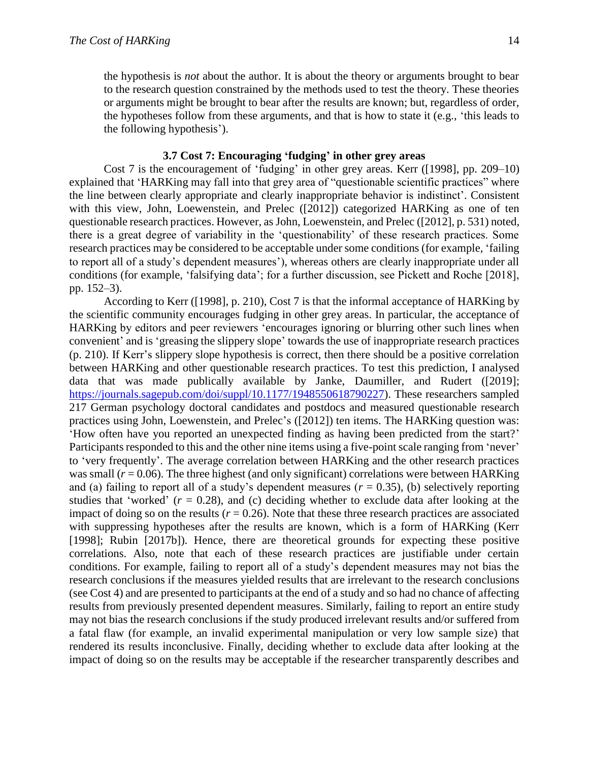the hypothesis is *not* about the author. It is about the theory or arguments brought to bear to the research question constrained by the methods used to test the theory. These theories or arguments might be brought to bear after the results are known; but, regardless of order, the hypotheses follow from these arguments, and that is how to state it (e.g., 'this leads to the following hypothesis').

# **3.7 Cost 7: Encouraging 'fudging' in other grey areas**

Cost 7 is the encouragement of 'fudging' in other grey areas. Kerr ([1998], pp. 209–10) explained that 'HARKing may fall into that grey area of "questionable scientific practices" where the line between clearly appropriate and clearly inappropriate behavior is indistinct'. Consistent with this view, John, Loewenstein, and Prelec ([2012]) categorized HARKing as one of ten questionable research practices. However, as John, Loewenstein, and Prelec ([2012], p. 531) noted, there is a great degree of variability in the 'questionability' of these research practices. Some research practices may be considered to be acceptable under some conditions (for example, 'failing to report all of a study's dependent measures'), whereas others are clearly inappropriate under all conditions (for example, 'falsifying data'; for a further discussion, see Pickett and Roche [2018], pp. 152–3).

According to Kerr ([1998], p. 210), Cost 7 is that the informal acceptance of HARKing by the scientific community encourages fudging in other grey areas. In particular, the acceptance of HARKing by editors and peer reviewers 'encourages ignoring or blurring other such lines when convenient' and is 'greasing the slippery slope' towards the use of inappropriate research practices (p. 210). If Kerr's slippery slope hypothesis is correct, then there should be a positive correlation between HARKing and other questionable research practices. To test this prediction, I analysed data that was made publically available by Janke, Daumiller, and Rudert ([2019]; [https://journals.sagepub.com/doi/suppl/10.1177/1948550618790227\)](https://journals.sagepub.com/doi/suppl/10.1177/1948550618790227). These researchers sampled 217 German psychology doctoral candidates and postdocs and measured questionable research practices using John, Loewenstein, and Prelec's ([2012]) ten items. The HARKing question was: 'How often have you reported an unexpected finding as having been predicted from the start?' Participants responded to this and the other nine items using a five-point scale ranging from 'never' to 'very frequently'. The average correlation between HARKing and the other research practices was small  $(r = 0.06)$ . The three highest (and only significant) correlations were between HARKing and (a) failing to report all of a study's dependent measures  $(r = 0.35)$ , (b) selectively reporting studies that 'worked'  $(r = 0.28)$ , and (c) deciding whether to exclude data after looking at the impact of doing so on the results  $(r = 0.26)$ . Note that these three research practices are associated with suppressing hypotheses after the results are known, which is a form of HARKing (Kerr [1998]; Rubin [2017b]). Hence, there are theoretical grounds for expecting these positive correlations. Also, note that each of these research practices are justifiable under certain conditions. For example, failing to report all of a study's dependent measures may not bias the research conclusions if the measures yielded results that are irrelevant to the research conclusions (see Cost 4) and are presented to participants at the end of a study and so had no chance of affecting results from previously presented dependent measures. Similarly, failing to report an entire study may not bias the research conclusions if the study produced irrelevant results and/or suffered from a fatal flaw (for example, an invalid experimental manipulation or very low sample size) that rendered its results inconclusive. Finally, deciding whether to exclude data after looking at the impact of doing so on the results may be acceptable if the researcher transparently describes and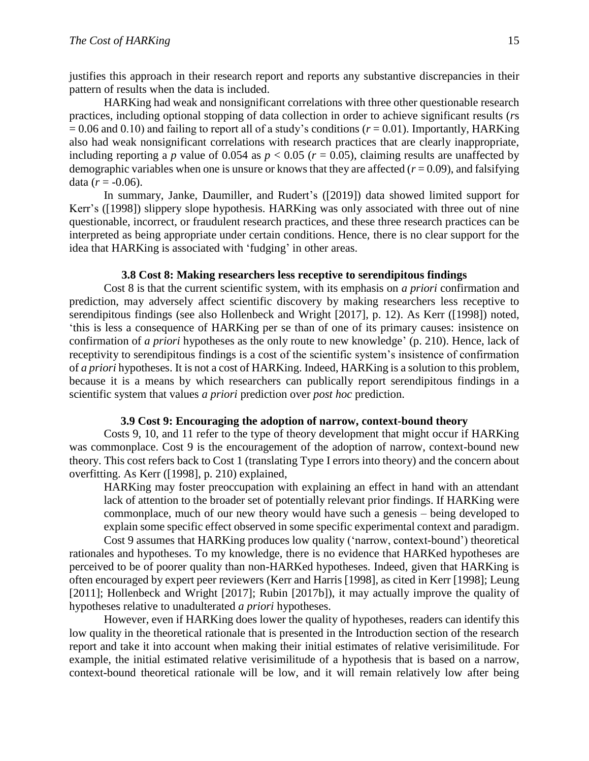justifies this approach in their research report and reports any substantive discrepancies in their pattern of results when the data is included.

HARKing had weak and nonsignificant correlations with three other questionable research practices, including optional stopping of data collection in order to achieve significant results (*r*s  $= 0.06$  and 0.10) and failing to report all of a study's conditions ( $r = 0.01$ ). Importantly, HARKing also had weak nonsignificant correlations with research practices that are clearly inappropriate, including reporting a *p* value of 0.054 as  $p < 0.05$  ( $r = 0.05$ ), claiming results are unaffected by demographic variables when one is unsure or knows that they are affected  $(r = 0.09)$ , and falsifying data  $(r = -0.06)$ .

In summary, Janke, Daumiller, and Rudert's ([2019]) data showed limited support for Kerr's ([1998]) slippery slope hypothesis. HARKing was only associated with three out of nine questionable, incorrect, or fraudulent research practices, and these three research practices can be interpreted as being appropriate under certain conditions. Hence, there is no clear support for the idea that HARKing is associated with 'fudging' in other areas.

# **3.8 Cost 8: Making researchers less receptive to serendipitous findings**

Cost 8 is that the current scientific system, with its emphasis on *a priori* confirmation and prediction, may adversely affect scientific discovery by making researchers less receptive to serendipitous findings (see also Hollenbeck and Wright [2017], p. 12). As Kerr ([1998]) noted, 'this is less a consequence of HARKing per se than of one of its primary causes: insistence on confirmation of *a priori* hypotheses as the only route to new knowledge' (p. 210). Hence, lack of receptivity to serendipitous findings is a cost of the scientific system's insistence of confirmation of *a priori* hypotheses. It is not a cost of HARKing. Indeed, HARKing is a solution to this problem, because it is a means by which researchers can publically report serendipitous findings in a scientific system that values *a priori* prediction over *post hoc* prediction.

## **3.9 Cost 9: Encouraging the adoption of narrow, context-bound theory**

Costs 9, 10, and 11 refer to the type of theory development that might occur if HARKing was commonplace. Cost 9 is the encouragement of the adoption of narrow, context-bound new theory. This cost refers back to Cost 1 (translating Type I errors into theory) and the concern about overfitting. As Kerr ([1998], p. 210) explained,

HARKing may foster preoccupation with explaining an effect in hand with an attendant lack of attention to the broader set of potentially relevant prior findings. If HARKing were commonplace, much of our new theory would have such a genesis – being developed to explain some specific effect observed in some specific experimental context and paradigm.

Cost 9 assumes that HARKing produces low quality ('narrow, context-bound') theoretical rationales and hypotheses. To my knowledge, there is no evidence that HARKed hypotheses are perceived to be of poorer quality than non-HARKed hypotheses. Indeed, given that HARKing is often encouraged by expert peer reviewers (Kerr and Harris [1998], as cited in Kerr [1998]; Leung [2011]; Hollenbeck and Wright [2017]; Rubin [2017b]), it may actually improve the quality of hypotheses relative to unadulterated *a priori* hypotheses.

However, even if HARKing does lower the quality of hypotheses, readers can identify this low quality in the theoretical rationale that is presented in the Introduction section of the research report and take it into account when making their initial estimates of relative verisimilitude. For example, the initial estimated relative verisimilitude of a hypothesis that is based on a narrow, context-bound theoretical rationale will be low, and it will remain relatively low after being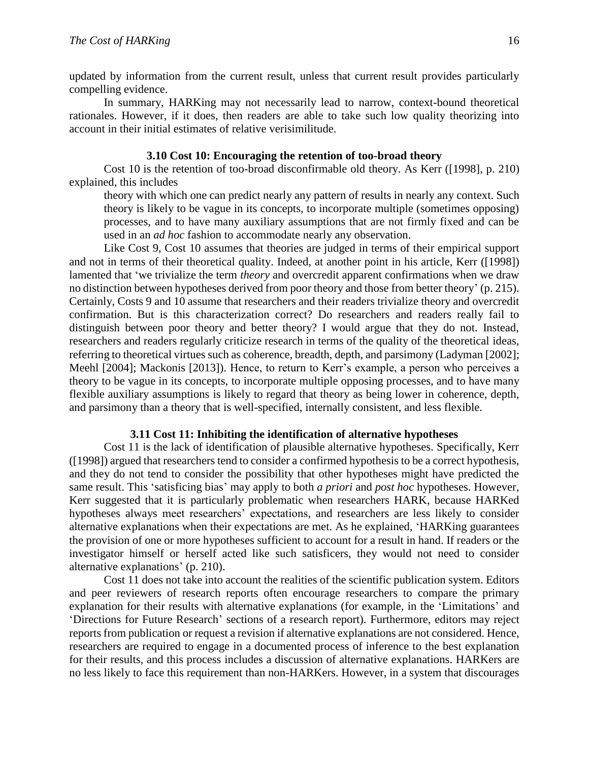updated by information from the current result, unless that current result provides particularly compelling evidence.

In summary, HARKing may not necessarily lead to narrow, context-bound theoretical rationales. However, if it does, then readers are able to take such low quality theorizing into account in their initial estimates of relative verisimilitude.

## **3.10 Cost 10: Encouraging the retention of too-broad theory**

Cost 10 is the retention of too-broad disconfirmable old theory. As Kerr ([1998], p. 210) explained, this includes

theory with which one can predict nearly any pattern of results in nearly any context. Such theory is likely to be vague in its concepts, to incorporate multiple (sometimes opposing) processes, and to have many auxiliary assumptions that are not firmly fixed and can be used in an *ad hoc* fashion to accommodate nearly any observation.

Like Cost 9, Cost 10 assumes that theories are judged in terms of their empirical support and not in terms of their theoretical quality. Indeed, at another point in his article, Kerr ([1998]) lamented that 'we trivialize the term *theory* and overcredit apparent confirmations when we draw no distinction between hypotheses derived from poor theory and those from better theory' (p. 215). Certainly, Costs 9 and 10 assume that researchers and their readers trivialize theory and overcredit confirmation. But is this characterization correct? Do researchers and readers really fail to distinguish between poor theory and better theory? I would argue that they do not. Instead, researchers and readers regularly criticize research in terms of the quality of the theoretical ideas, referring to theoretical virtues such as coherence, breadth, depth, and parsimony (Ladyman [2002]; Meehl [2004]; Mackonis [2013]). Hence, to return to Kerr's example, a person who perceives a theory to be vague in its concepts, to incorporate multiple opposing processes, and to have many flexible auxiliary assumptions is likely to regard that theory as being lower in coherence, depth, and parsimony than a theory that is well-specified, internally consistent, and less flexible.

### **3.11 Cost 11: Inhibiting the identification of alternative hypotheses**

Cost 11 is the lack of identification of plausible alternative hypotheses. Specifically, Kerr ([1998]) argued that researchers tend to consider a confirmed hypothesis to be a correct hypothesis, and they do not tend to consider the possibility that other hypotheses might have predicted the same result. This 'satisficing bias' may apply to both *a priori* and *post hoc* hypotheses. However, Kerr suggested that it is particularly problematic when researchers HARK, because HARKed hypotheses always meet researchers' expectations, and researchers are less likely to consider alternative explanations when their expectations are met. As he explained, 'HARKing guarantees the provision of one or more hypotheses sufficient to account for a result in hand. If readers or the investigator himself or herself acted like such satisficers, they would not need to consider alternative explanations' (p. 210).

Cost 11 does not take into account the realities of the scientific publication system. Editors and peer reviewers of research reports often encourage researchers to compare the primary explanation for their results with alternative explanations (for example, in the 'Limitations' and 'Directions for Future Research' sections of a research report). Furthermore, editors may reject reports from publication or request a revision if alternative explanations are not considered. Hence, researchers are required to engage in a documented process of inference to the best explanation for their results, and this process includes a discussion of alternative explanations. HARKers are no less likely to face this requirement than non-HARKers. However, in a system that discourages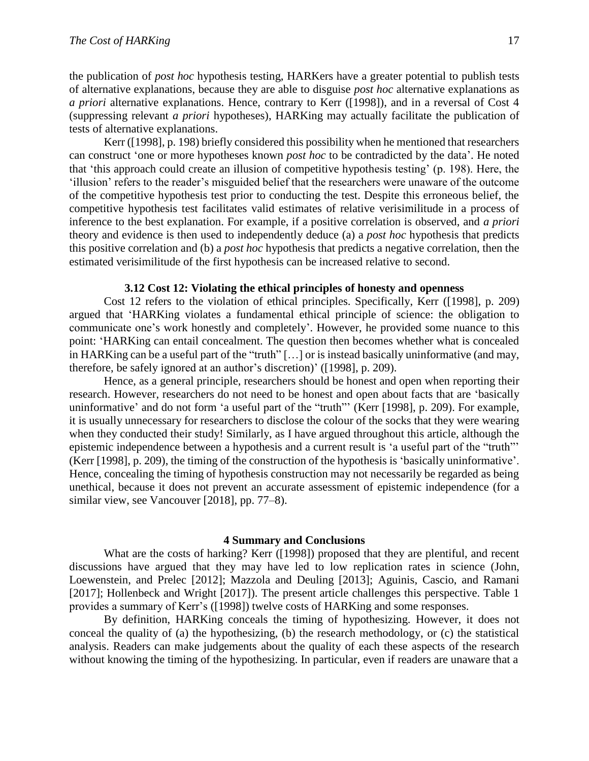the publication of *post hoc* hypothesis testing, HARKers have a greater potential to publish tests of alternative explanations, because they are able to disguise *post hoc* alternative explanations as *a priori* alternative explanations. Hence, contrary to Kerr ([1998]), and in a reversal of Cost 4 (suppressing relevant *a priori* hypotheses), HARKing may actually facilitate the publication of tests of alternative explanations.

Kerr ([1998], p. 198) briefly considered this possibility when he mentioned that researchers can construct 'one or more hypotheses known *post hoc* to be contradicted by the data'. He noted that 'this approach could create an illusion of competitive hypothesis testing' (p. 198). Here, the 'illusion' refers to the reader's misguided belief that the researchers were unaware of the outcome of the competitive hypothesis test prior to conducting the test. Despite this erroneous belief, the competitive hypothesis test facilitates valid estimates of relative verisimilitude in a process of inference to the best explanation. For example, if a positive correlation is observed, and *a priori* theory and evidence is then used to independently deduce (a) a *post hoc* hypothesis that predicts this positive correlation and (b) a *post hoc* hypothesis that predicts a negative correlation, then the estimated verisimilitude of the first hypothesis can be increased relative to second.

## **3.12 Cost 12: Violating the ethical principles of honesty and openness**

Cost 12 refers to the violation of ethical principles. Specifically, Kerr ([1998], p. 209) argued that 'HARKing violates a fundamental ethical principle of science: the obligation to communicate one's work honestly and completely'. However, he provided some nuance to this point: 'HARKing can entail concealment. The question then becomes whether what is concealed in HARKing can be a useful part of the "truth" […] or is instead basically uninformative (and may, therefore, be safely ignored at an author's discretion)' ([1998], p. 209).

Hence, as a general principle, researchers should be honest and open when reporting their research. However, researchers do not need to be honest and open about facts that are 'basically uninformative' and do not form 'a useful part of the "truth"' (Kerr [1998], p. 209). For example, it is usually unnecessary for researchers to disclose the colour of the socks that they were wearing when they conducted their study! Similarly, as I have argued throughout this article, although the epistemic independence between a hypothesis and a current result is 'a useful part of the "truth"' (Kerr [1998], p. 209), the timing of the construction of the hypothesis is 'basically uninformative'. Hence, concealing the timing of hypothesis construction may not necessarily be regarded as being unethical, because it does not prevent an accurate assessment of epistemic independence (for a similar view, see Vancouver [2018], pp. 77–8).

### **4 Summary and Conclusions**

What are the costs of harking? Kerr ([1998]) proposed that they are plentiful, and recent discussions have argued that they may have led to low replication rates in science (John, Loewenstein, and Prelec [2012]; Mazzola and Deuling [2013]; Aguinis, Cascio, and Ramani [2017]; Hollenbeck and Wright [2017]). The present article challenges this perspective. Table 1 provides a summary of Kerr's ([1998]) twelve costs of HARKing and some responses.

By definition, HARKing conceals the timing of hypothesizing. However, it does not conceal the quality of (a) the hypothesizing, (b) the research methodology, or (c) the statistical analysis. Readers can make judgements about the quality of each these aspects of the research without knowing the timing of the hypothesizing. In particular, even if readers are unaware that a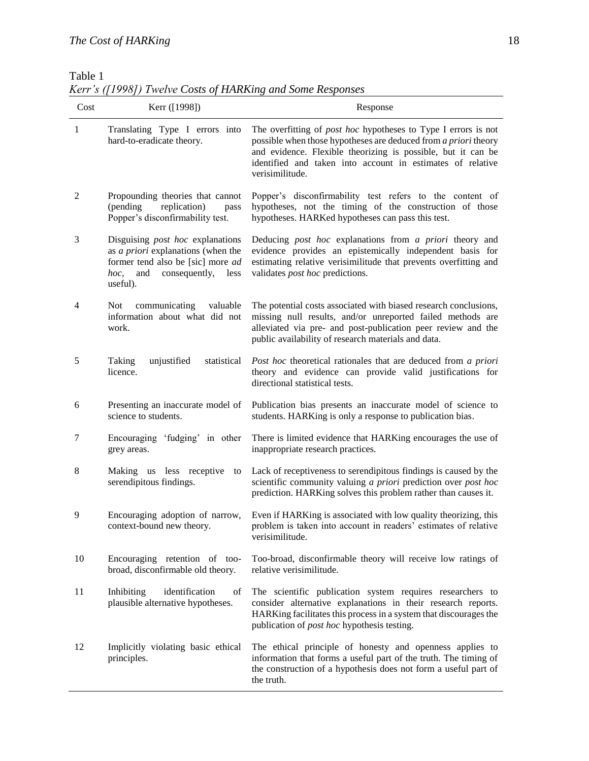| anle |  |
|------|--|
|------|--|

*Kerr's ([1998]) Twelve Costs of HARKing and Some Responses*

| Cost           | Kerr ([1998])                                                                                                                                                          | Response                                                                                                                                                                                                                                                                                  |
|----------------|------------------------------------------------------------------------------------------------------------------------------------------------------------------------|-------------------------------------------------------------------------------------------------------------------------------------------------------------------------------------------------------------------------------------------------------------------------------------------|
| 1              | Translating Type I errors into<br>hard-to-eradicate theory.                                                                                                            | The overfitting of <i>post hoc</i> hypotheses to Type I errors is not<br>possible when those hypotheses are deduced from a priori theory<br>and evidence. Flexible theorizing is possible, but it can be<br>identified and taken into account in estimates of relative<br>verisimilitude. |
| $\overline{2}$ | Propounding theories that cannot<br>(pending<br>replication)<br>pass<br>Popper's disconfirmability test.                                                               | Popper's disconfirmability test refers to the content of<br>hypotheses, not the timing of the construction of those<br>hypotheses. HARKed hypotheses can pass this test.                                                                                                                  |
| 3              | Disguising post hoc explanations<br>as <i>a priori</i> explanations (when the<br>former tend also be [sic] more ad<br>and<br>consequently,<br>hoc,<br>less<br>useful). | Deducing post hoc explanations from a priori theory and<br>evidence provides an epistemically independent basis for<br>estimating relative verisimilitude that prevents overfitting and<br>validates <i>post hoc</i> predictions.                                                         |
| 4              | <b>Not</b><br>communicating<br>valuable<br>information about what did not<br>work.                                                                                     | The potential costs associated with biased research conclusions,<br>missing null results, and/or unreported failed methods are<br>alleviated via pre- and post-publication peer review and the<br>public availability of research materials and data.                                     |
| 5              | Taking<br>unjustified<br>statistical<br>licence.                                                                                                                       | Post hoc theoretical rationales that are deduced from a priori<br>theory and evidence can provide valid justifications for<br>directional statistical tests.                                                                                                                              |
| 6              | Presenting an inaccurate model of<br>science to students.                                                                                                              | Publication bias presents an inaccurate model of science to<br>students. HARKing is only a response to publication bias.                                                                                                                                                                  |
| 7              | Encouraging 'fudging' in other<br>grey areas.                                                                                                                          | There is limited evidence that HARKing encourages the use of<br>inappropriate research practices.                                                                                                                                                                                         |
| 8              | Making us less receptive<br>to<br>serendipitous findings.                                                                                                              | Lack of receptiveness to serendipitous findings is caused by the<br>scientific community valuing a priori prediction over post hoc<br>prediction. HARKing solves this problem rather than causes it.                                                                                      |
| 9              | Encouraging adoption of narrow,<br>context-bound new theory.                                                                                                           | Even if HARKing is associated with low quality theorizing, this<br>problem is taken into account in readers' estimates of relative<br>verisimilitude.                                                                                                                                     |
| 10             | Encouraging retention of too-<br>broad, disconfirmable old theory.                                                                                                     | Too-broad, disconfirmable theory will receive low ratings of<br>relative verisimilitude.                                                                                                                                                                                                  |
| 11             | identification<br>Inhibiting<br>οf<br>plausible alternative hypotheses.                                                                                                | The scientific publication system requires researchers to<br>consider alternative explanations in their research reports.<br>HARKing facilitates this process in a system that discourages the<br>publication of <i>post hoc</i> hypothesis testing.                                      |
| 12             | Implicitly violating basic ethical<br>principles.                                                                                                                      | The ethical principle of honesty and openness applies to<br>information that forms a useful part of the truth. The timing of<br>the construction of a hypothesis does not form a useful part of<br>the truth.                                                                             |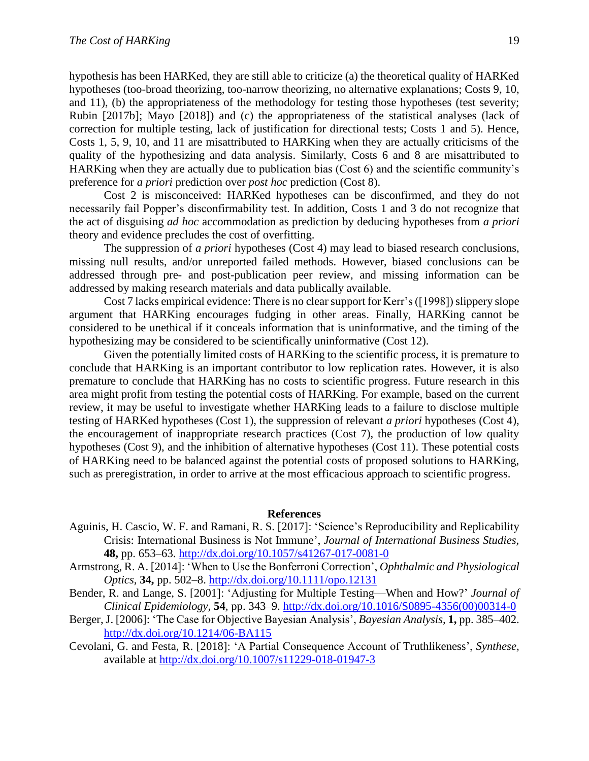hypothesis has been HARKed, they are still able to criticize (a) the theoretical quality of HARKed hypotheses (too-broad theorizing, too-narrow theorizing, no alternative explanations; Costs 9, 10, and 11), (b) the appropriateness of the methodology for testing those hypotheses (test severity; Rubin [2017b]; Mayo [2018]) and (c) the appropriateness of the statistical analyses (lack of correction for multiple testing, lack of justification for directional tests; Costs 1 and 5). Hence, Costs 1, 5, 9, 10, and 11 are misattributed to HARKing when they are actually criticisms of the quality of the hypothesizing and data analysis. Similarly, Costs 6 and 8 are misattributed to HARKing when they are actually due to publication bias (Cost 6) and the scientific community's preference for *a priori* prediction over *post hoc* prediction (Cost 8).

Cost 2 is misconceived: HARKed hypotheses can be disconfirmed, and they do not necessarily fail Popper's disconfirmability test. In addition, Costs 1 and 3 do not recognize that the act of disguising *ad hoc* accommodation as prediction by deducing hypotheses from *a priori* theory and evidence precludes the cost of overfitting.

The suppression of *a priori* hypotheses (Cost 4) may lead to biased research conclusions, missing null results, and/or unreported failed methods. However, biased conclusions can be addressed through pre- and post-publication peer review, and missing information can be addressed by making research materials and data publically available.

Cost 7 lacks empirical evidence: There is no clear support for Kerr's ([1998]) slippery slope argument that HARKing encourages fudging in other areas. Finally, HARKing cannot be considered to be unethical if it conceals information that is uninformative, and the timing of the hypothesizing may be considered to be scientifically uninformative (Cost 12).

Given the potentially limited costs of HARKing to the scientific process, it is premature to conclude that HARKing is an important contributor to low replication rates. However, it is also premature to conclude that HARKing has no costs to scientific progress. Future research in this area might profit from testing the potential costs of HARKing. For example, based on the current review, it may be useful to investigate whether HARKing leads to a failure to disclose multiple testing of HARKed hypotheses (Cost 1), the suppression of relevant *a priori* hypotheses (Cost 4), the encouragement of inappropriate research practices (Cost 7), the production of low quality hypotheses (Cost 9), and the inhibition of alternative hypotheses (Cost 11). These potential costs of HARKing need to be balanced against the potential costs of proposed solutions to HARKing, such as preregistration, in order to arrive at the most efficacious approach to scientific progress.

## **References**

- Aguinis, H. Cascio, W. F. and Ramani, R. S. [2017]: 'Science's Reproducibility and Replicability Crisis: International Business is Not Immune', *Journal of International Business Studies,*  **48,** pp. 653–63.<http://dx.doi.org/10.1057/s41267-017-0081-0>
- Armstrong, R. A. [2014]: 'When to Use the Bonferroni Correction', *Ophthalmic and Physiological Optics,* **34,** pp. 502–8.<http://dx.doi.org/10.1111/opo.12131>
- Bender, R. and Lange, S. [2001]: 'Adjusting for Multiple Testing—When and How?' *Journal of Clinical Epidemiology,* **54***,* pp. 343–9. [http://dx.doi.org/10.1016/S0895-4356\(00\)00314-0](http://dx.doi.org/10.1016/S0895-4356(00)00314-0)
- Berger, J. [2006]: 'The Case for Objective Bayesian Analysis', *Bayesian Analysis,* **1,** pp. 385–402. <http://dx.doi.org/10.1214/06-BA115>
- Cevolani, G. and Festa, R. [2018]: 'A Partial Consequence Account of Truthlikeness', *Synthese,* available at <http://dx.doi.org/10.1007/s11229-018-01947-3>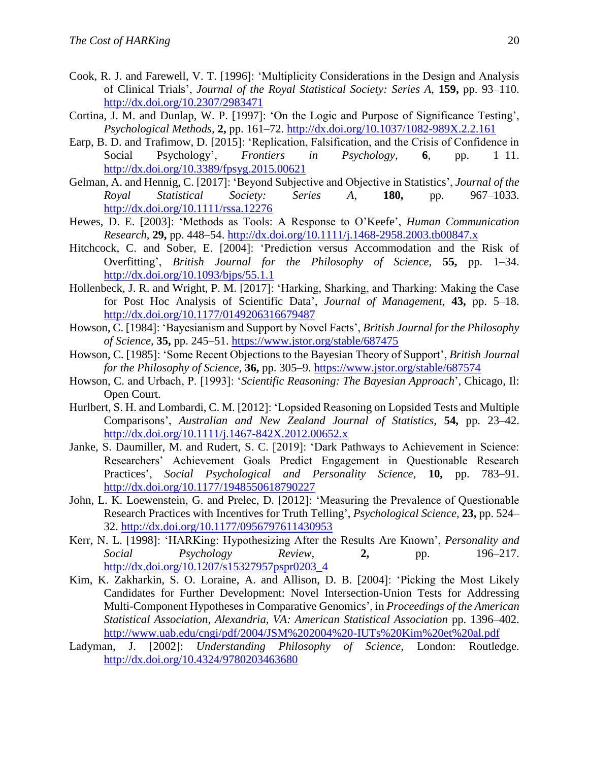- Cook, R. J. and Farewell, V. T. [1996]: 'Multiplicity Considerations in the Design and Analysis of Clinical Trials', *Journal of the Royal Statistical Society: Series A,* **159,** pp. 93–110. <http://dx.doi.org/10.2307/2983471>
- Cortina, J. M. and Dunlap, W. P. [1997]: 'On the Logic and Purpose of Significance Testing', *Psychological Methods,* **2,** pp. 161–72.<http://dx.doi.org/10.1037/1082-989X.2.2.161>
- Earp, B. D. and Trafimow, D. [2015]: 'Replication, Falsification, and the Crisis of Confidence in Social Psychology', *Frontiers in Psychology,* **6***,* pp. 1–11. <http://dx.doi.org/10.3389/fpsyg.2015.00621>
- Gelman, A. and Hennig, C. [2017]: 'Beyond Subjective and Objective in Statistics', *Journal of the Royal Statistical Society: Series A,* **180,** pp. 967–1033. <http://dx.doi.org/10.1111/rssa.12276>
- Hewes, D. E. [2003]: 'Methods as Tools: A Response to O'Keefe', *Human Communication Research*, **29,** pp. 448–54.<http://dx.doi.org/10.1111/j.1468-2958.2003.tb00847.x>
- Hitchcock, C. and Sober, E. [2004]: 'Prediction versus Accommodation and the Risk of Overfitting', *British Journal for the Philosophy of Science,* **55,** pp. 1–34. <http://dx.doi.org/10.1093/bjps/55.1.1>
- Hollenbeck, J. R. and Wright, P. M. [2017]: 'Harking, Sharking, and Tharking: Making the Case for Post Hoc Analysis of Scientific Data', *Journal of Management,* **43,** pp. 5–18. <http://dx.doi.org/10.1177/0149206316679487>
- Howson, C. [1984]: 'Bayesianism and Support by Novel Facts', *British Journal for the Philosophy of Science,* **35,** pp. 245–51. <https://www.jstor.org/stable/687475>
- Howson, C. [1985]: 'Some Recent Objections to the Bayesian Theory of Support', *British Journal for the Philosophy of Science,* **36,** pp. 305–9. <https://www.jstor.org/stable/687574>
- Howson, C. and Urbach, P. [1993]: '*Scientific Reasoning: The Bayesian Approach*'*,* Chicago, Il: Open Court.
- Hurlbert, S. H. and Lombardi, C. M. [2012]: 'Lopsided Reasoning on Lopsided Tests and Multiple Comparisons', *Australian and New Zealand Journal of Statistics,* **54,** pp. 23–42. <http://dx.doi.org/10.1111/j.1467-842X.2012.00652.x>
- Janke, S. Daumiller, M. and Rudert, S. C. [2019]: 'Dark Pathways to Achievement in Science: Researchers' Achievement Goals Predict Engagement in Questionable Research Practices', *Social Psychological and Personality Science,* **10,** pp. 783–91. <http://dx.doi.org/10.1177/1948550618790227>
- John, L. K. Loewenstein, G. and Prelec, D. [2012]: 'Measuring the Prevalence of Questionable Research Practices with Incentives for Truth Telling', *Psychological Science,* **23,** pp. 524– 32.<http://dx.doi.org/10.1177/0956797611430953>
- Kerr, N. L. [1998]: 'HARKing: Hypothesizing After the Results Are Known', *Personality and Social Psychology Review,* **2,** pp. 196–217. [http://dx.doi.org/10.1207/s15327957pspr0203\\_4](http://dx.doi.org/10.1207/s15327957pspr0203_4)
- Kim, K. Zakharkin, S. O. Loraine, A. and Allison, D. B. [2004]: 'Picking the Most Likely Candidates for Further Development: Novel Intersection-Union Tests for Addressing Multi-Component Hypotheses in Comparative Genomics', in *Proceedings of the American Statistical Association*, *Alexandria, VA: American Statistical Association* pp. 1396–402. <http://www.uab.edu/cngi/pdf/2004/JSM%202004%20-IUTs%20Kim%20et%20al.pdf>
- Ladyman, J. [2002]: *Understanding Philosophy of Science,* London: Routledge. <http://dx.doi.org/10.4324/9780203463680>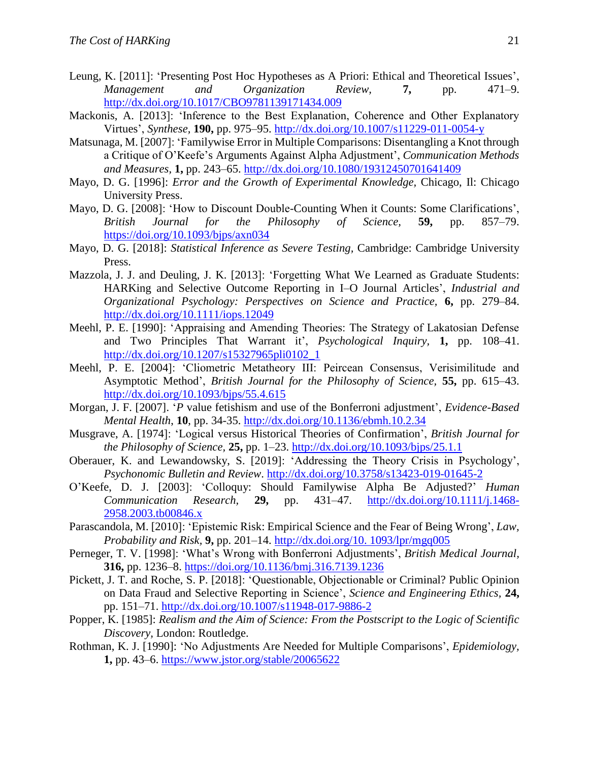- Leung, K. [2011]: 'Presenting Post Hoc Hypotheses as A Priori: Ethical and Theoretical Issues', *Management and Organization Review,* **7,** pp. 471–9. <http://dx.doi.org/10.1017/CBO9781139171434.009>
- Mackonis, A. [2013]: 'Inference to the Best Explanation, Coherence and Other Explanatory Virtues', *Synthese,* **190,** pp. 975–95.<http://dx.doi.org/10.1007/s11229-011-0054-y>
- Matsunaga, M. [2007]: 'Familywise Error in Multiple Comparisons: Disentangling a Knot through a Critique of O'Keefe's Arguments Against Alpha Adjustment', *Communication Methods and Measures,* **1,** pp. 243–65.<http://dx.doi.org/10.1080/19312450701641409>
- Mayo, D. G. [1996]: *Error and the Growth of Experimental Knowledge,* Chicago, Il: Chicago University Press.
- Mayo, D. G. [2008]: 'How to Discount Double-Counting When it Counts: Some Clarifications', *British Journal for the Philosophy of Science,* **59,** pp. 857–79. <https://doi.org/10.1093/bjps/axn034>
- Mayo, D. G. [2018]: *Statistical Inference as Severe Testing,* Cambridge: Cambridge University Press.
- Mazzola, J. J. and Deuling, J. K. [2013]: 'Forgetting What We Learned as Graduate Students: HARKing and Selective Outcome Reporting in I–O Journal Articles', *Industrial and Organizational Psychology: Perspectives on Science and Practice,* **6,** pp. 279–84. <http://dx.doi.org/10.1111/iops.12049>
- Meehl, P. E. [1990]: 'Appraising and Amending Theories: The Strategy of Lakatosian Defense and Two Principles That Warrant it', *Psychological Inquiry,* **1,** pp. 108–41. [http://dx.doi.org/10.1207/s15327965pli0102\\_1](http://dx.doi.org/10.1207/s15327965pli0102_1)
- Meehl, P. E. [2004]: 'Cliometric Metatheory III: Peircean Consensus, Verisimilitude and Asymptotic Method', *British Journal for the Philosophy of Science,* **55,** pp. 615–43. <http://dx.doi.org/10.1093/bjps/55.4.615>
- Morgan, J. F. [2007]. '*P* value fetishism and use of the Bonferroni adjustment', *Evidence-Based Mental Health*, **10**, pp. 34-35.<http://dx.doi.org/10.1136/ebmh.10.2.34>
- Musgrave, A. [1974]: 'Logical versus Historical Theories of Confirmation', *British Journal for the Philosophy of Science,* **25,** pp. 1–23.<http://dx.doi.org/10.1093/bjps/25.1.1>
- Oberauer, K. and Lewandowsky, S. [2019]: 'Addressing the Theory Crisis in Psychology', *Psychonomic Bulletin and Review*.<http://dx.doi.org/10.3758/s13423-019-01645-2>
- O'Keefe, D. J. [2003]: 'Colloquy: Should Familywise Alpha Be Adjusted?' *Human Communication Research,* **29,** pp. 431–47. [http://dx.doi.org/10.1111/j.1468-](http://dx.doi.org/10.1111/j.1468-2958.2003.tb00846.x) [2958.2003.tb00846.x](http://dx.doi.org/10.1111/j.1468-2958.2003.tb00846.x)
- Parascandola, M. [2010]: 'Epistemic Risk: Empirical Science and the Fear of Being Wrong', *Law, Probability and Risk,* **9,** pp. 201–14. [http://dx.doi.org/10. 1093/lpr/mgq005](http://dx.doi.org/10.%201093/lpr/mgq005)
- Perneger, T. V. [1998]: 'What's Wrong with Bonferroni Adjustments', *British Medical Journal,*  **316,** pp. 1236–8.<https://doi.org/10.1136/bmj.316.7139.1236>
- Pickett, J. T. and Roche, S. P. [2018]: 'Questionable, Objectionable or Criminal? Public Opinion on Data Fraud and Selective Reporting in Science', *Science and Engineering Ethics,* **24,** pp. 151–71. <http://dx.doi.org/10.1007/s11948-017-9886-2>
- Popper, K. [1985]: *Realism and the Aim of Science: From the Postscript to the Logic of Scientific Discovery,* London: Routledge.
- Rothman, K. J. [1990]: 'No Adjustments Are Needed for Multiple Comparisons', *Epidemiology,*  **1,** pp. 43–6. <https://www.jstor.org/stable/20065622>